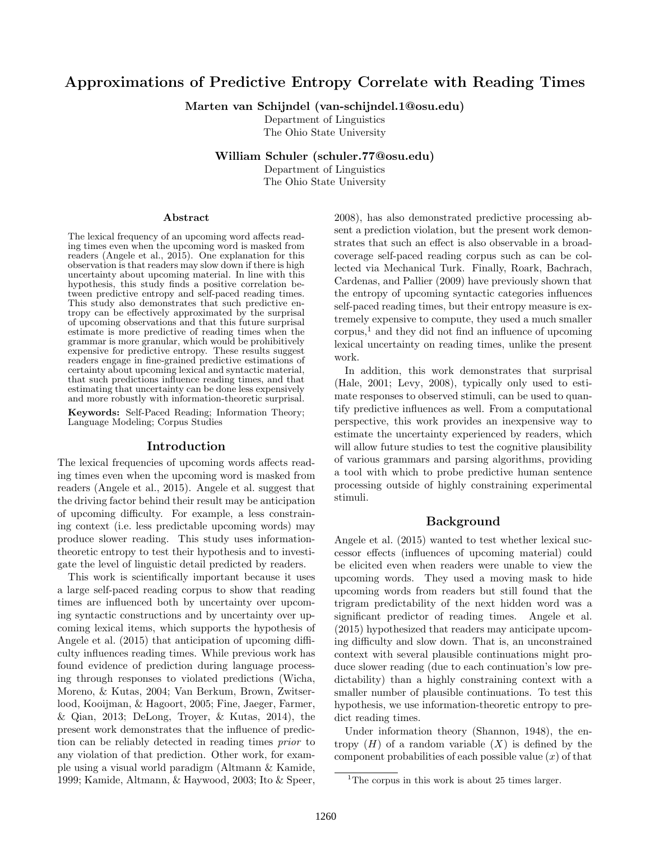# Approximations of Predictive Entropy Correlate with Reading Times

Marten van Schijndel (van-schijndel.1@osu.edu)

Department of Linguistics The Ohio State University

William Schuler (schuler.77@osu.edu)

Department of Linguistics The Ohio State University

#### Abstract

The lexical frequency of an upcoming word affects reading times even when the upcoming word is masked from readers (Angele et al., 2015). One explanation for this observation is that readers may slow down if there is high uncertainty about upcoming material. In line with this hypothesis, this study finds a positive correlation between predictive entropy and self-paced reading times. This study also demonstrates that such predictive entropy can be effectively approximated by the surprisal of upcoming observations and that this future surprisal estimate is more predictive of reading times when the grammar is more granular, which would be prohibitively expensive for predictive entropy. These results suggest readers engage in fine-grained predictive estimations of certainty about upcoming lexical and syntactic material, that such predictions influence reading times, and that estimating that uncertainty can be done less expensively and more robustly with information-theoretic surprisal.

Keywords: Self-Paced Reading; Information Theory; Language Modeling; Corpus Studies

#### Introduction

The lexical frequencies of upcoming words affects reading times even when the upcoming word is masked from readers (Angele et al., 2015). Angele et al. suggest that the driving factor behind their result may be anticipation of upcoming difficulty. For example, a less constraining context (i.e. less predictable upcoming words) may produce slower reading. This study uses informationtheoretic entropy to test their hypothesis and to investigate the level of linguistic detail predicted by readers.

This work is scientifically important because it uses a large self-paced reading corpus to show that reading times are influenced both by uncertainty over upcoming syntactic constructions and by uncertainty over upcoming lexical items, which supports the hypothesis of Angele et al. (2015) that anticipation of upcoming difficulty influences reading times. While previous work has found evidence of prediction during language processing through responses to violated predictions (Wicha, Moreno, & Kutas, 2004; Van Berkum, Brown, Zwitserlood, Kooijman, & Hagoort, 2005; Fine, Jaeger, Farmer, & Qian, 2013; DeLong, Troyer, & Kutas, 2014), the present work demonstrates that the influence of prediction can be reliably detected in reading times prior to any violation of that prediction. Other work, for example using a visual world paradigm (Altmann & Kamide, 1999; Kamide, Altmann, & Haywood, 2003; Ito & Speer, 2008), has also demonstrated predictive processing absent a prediction violation, but the present work demonstrates that such an effect is also observable in a broadcoverage self-paced reading corpus such as can be collected via Mechanical Turk. Finally, Roark, Bachrach, Cardenas, and Pallier (2009) have previously shown that the entropy of upcoming syntactic categories influences self-paced reading times, but their entropy measure is extremely expensive to compute, they used a much smaller  $corpus$ <sup>1</sup>, and they did not find an influence of upcoming lexical uncertainty on reading times, unlike the present work.

In addition, this work demonstrates that surprisal (Hale, 2001; Levy, 2008), typically only used to estimate responses to observed stimuli, can be used to quantify predictive influences as well. From a computational perspective, this work provides an inexpensive way to estimate the uncertainty experienced by readers, which will allow future studies to test the cognitive plausibility of various grammars and parsing algorithms, providing a tool with which to probe predictive human sentence processing outside of highly constraining experimental stimuli.

#### Background

Angele et al. (2015) wanted to test whether lexical successor effects (influences of upcoming material) could be elicited even when readers were unable to view the upcoming words. They used a moving mask to hide upcoming words from readers but still found that the trigram predictability of the next hidden word was a significant predictor of reading times. Angele et al. (2015) hypothesized that readers may anticipate upcoming difficulty and slow down. That is, an unconstrained context with several plausible continuations might produce slower reading (due to each continuation's low predictability) than a highly constraining context with a smaller number of plausible continuations. To test this hypothesis, we use information-theoretic entropy to predict reading times.

Under information theory (Shannon, 1948), the entropy  $(H)$  of a random variable  $(X)$  is defined by the component probabilities of each possible value  $(x)$  of that

<sup>&</sup>lt;sup>1</sup>The corpus in this work is about 25 times larger.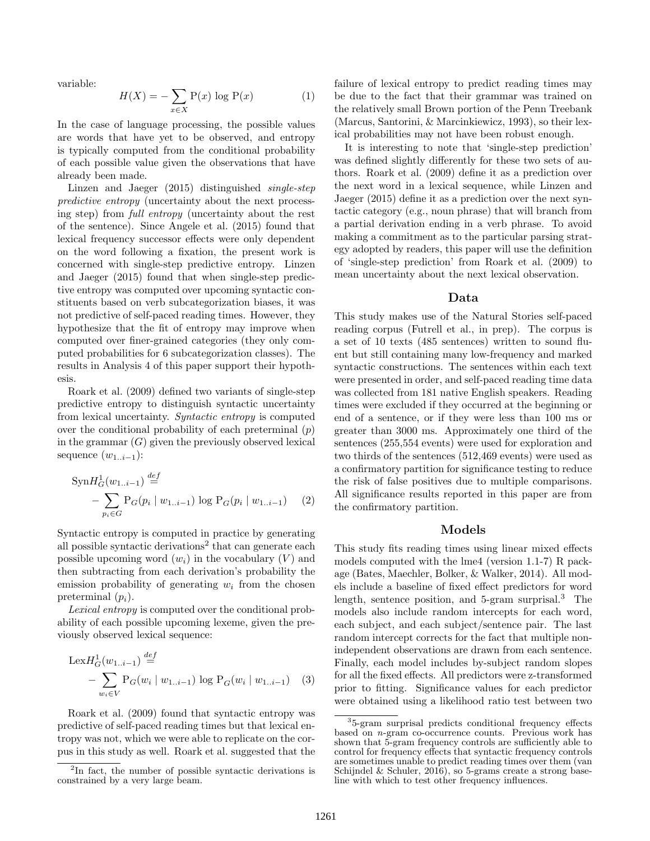variable:

$$
H(X) = -\sum_{x \in X} P(x) \log P(x) \tag{1}
$$

In the case of language processing, the possible values are words that have yet to be observed, and entropy is typically computed from the conditional probability of each possible value given the observations that have already been made.

Linzen and Jaeger (2015) distinguished single-step predictive entropy (uncertainty about the next processing step) from full entropy (uncertainty about the rest of the sentence). Since Angele et al. (2015) found that lexical frequency successor effects were only dependent on the word following a fixation, the present work is concerned with single-step predictive entropy. Linzen and Jaeger (2015) found that when single-step predictive entropy was computed over upcoming syntactic constituents based on verb subcategorization biases, it was not predictive of self-paced reading times. However, they hypothesize that the fit of entropy may improve when computed over finer-grained categories (they only computed probabilities for 6 subcategorization classes). The results in Analysis 4 of this paper support their hypothesis.

Roark et al. (2009) defined two variants of single-step predictive entropy to distinguish syntactic uncertainty from lexical uncertainty. Syntactic entropy is computed over the conditional probability of each preterminal  $(p)$ in the grammar  $(G)$  given the previously observed lexical sequence  $(w_{1..i-1})$ :

$$
\text{SynH}_G^1(w_{1..i-1}) \stackrel{def}{=} -\sum_{p_i \in G} \text{P}_G(p_i \mid w_{1..i-1}) \text{ log } \text{P}_G(p_i \mid w_{1..i-1}) \tag{2}
$$

Syntactic entropy is computed in practice by generating all possible syntactic derivations<sup>2</sup> that can generate each possible upcoming word  $(w_i)$  in the vocabulary  $(V)$  and then subtracting from each derivation's probability the emission probability of generating  $w_i$  from the chosen preterminal  $(p_i)$ .

Lexical entropy is computed over the conditional probability of each possible upcoming lexeme, given the previously observed lexical sequence:

$$
\text{Lex}H_G^1(w_{1..i-1}) \stackrel{def}{=} -\sum_{w_i \in V} \mathcal{P}_G(w_i \mid w_{1..i-1}) \log \mathcal{P}_G(w_i \mid w_{1..i-1}) \tag{3}
$$

Roark et al. (2009) found that syntactic entropy was predictive of self-paced reading times but that lexical entropy was not, which we were able to replicate on the corpus in this study as well. Roark et al. suggested that the failure of lexical entropy to predict reading times may be due to the fact that their grammar was trained on the relatively small Brown portion of the Penn Treebank (Marcus, Santorini, & Marcinkiewicz, 1993), so their lexical probabilities may not have been robust enough.

It is interesting to note that 'single-step prediction' was defined slightly differently for these two sets of authors. Roark et al. (2009) define it as a prediction over the next word in a lexical sequence, while Linzen and Jaeger (2015) define it as a prediction over the next syntactic category (e.g., noun phrase) that will branch from a partial derivation ending in a verb phrase. To avoid making a commitment as to the particular parsing strategy adopted by readers, this paper will use the definition of 'single-step prediction' from Roark et al. (2009) to mean uncertainty about the next lexical observation.

#### Data

This study makes use of the Natural Stories self-paced reading corpus (Futrell et al., in prep). The corpus is a set of 10 texts (485 sentences) written to sound fluent but still containing many low-frequency and marked syntactic constructions. The sentences within each text were presented in order, and self-paced reading time data was collected from 181 native English speakers. Reading times were excluded if they occurred at the beginning or end of a sentence, or if they were less than 100 ms or greater than 3000 ms. Approximately one third of the sentences (255,554 events) were used for exploration and two thirds of the sentences (512,469 events) were used as a confirmatory partition for significance testing to reduce the risk of false positives due to multiple comparisons. All significance results reported in this paper are from the confirmatory partition.

#### Models

This study fits reading times using linear mixed effects models computed with the lme4 (version 1.1-7) R package (Bates, Maechler, Bolker, & Walker, 2014). All models include a baseline of fixed effect predictors for word length, sentence position, and 5-gram surprisal.<sup>3</sup> The models also include random intercepts for each word, each subject, and each subject/sentence pair. The last random intercept corrects for the fact that multiple nonindependent observations are drawn from each sentence. Finally, each model includes by-subject random slopes for all the fixed effects. All predictors were z-transformed prior to fitting. Significance values for each predictor were obtained using a likelihood ratio test between two

<sup>2</sup> In fact, the number of possible syntactic derivations is constrained by a very large beam.

<sup>3</sup> 5-gram surprisal predicts conditional frequency effects based on n-gram co-occurrence counts. Previous work has shown that 5-gram frequency controls are sufficiently able to control for frequency effects that syntactic frequency controls are sometimes unable to predict reading times over them (van Schijndel & Schuler, 2016), so 5-grams create a strong baseline with which to test other frequency influences.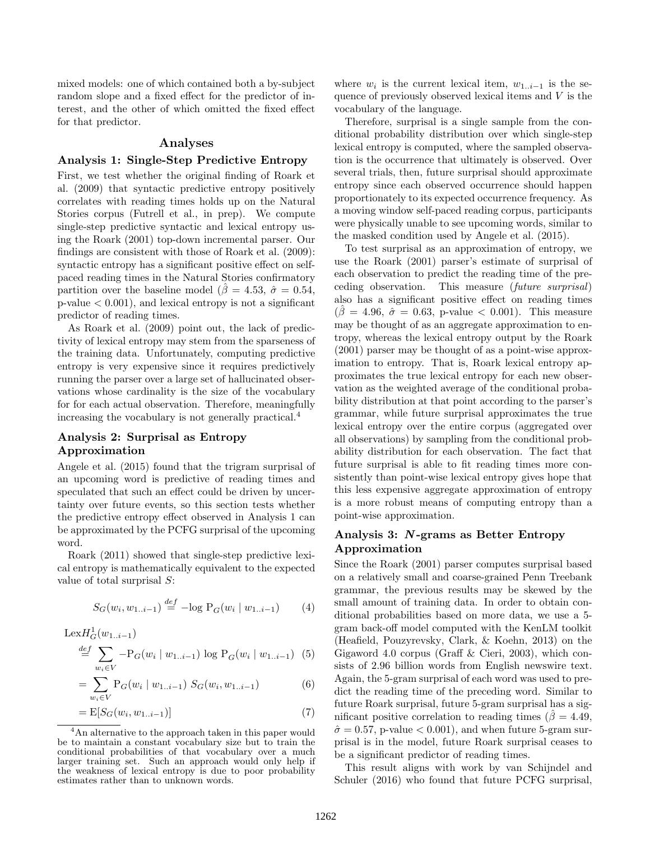mixed models: one of which contained both a by-subject random slope and a fixed effect for the predictor of interest, and the other of which omitted the fixed effect for that predictor.

#### Analyses

#### Analysis 1: Single-Step Predictive Entropy

First, we test whether the original finding of Roark et al. (2009) that syntactic predictive entropy positively correlates with reading times holds up on the Natural Stories corpus (Futrell et al., in prep). We compute single-step predictive syntactic and lexical entropy using the Roark (2001) top-down incremental parser. Our findings are consistent with those of Roark et al. (2009): syntactic entropy has a significant positive effect on selfpaced reading times in the Natural Stories confirmatory partition over the baseline model ( $\beta = 4.53$ ,  $\hat{\sigma} = 0.54$ ,  $p$ -value  $< 0.001$ , and lexical entropy is not a significant predictor of reading times.

As Roark et al. (2009) point out, the lack of predictivity of lexical entropy may stem from the sparseness of the training data. Unfortunately, computing predictive entropy is very expensive since it requires predictively running the parser over a large set of hallucinated observations whose cardinality is the size of the vocabulary for for each actual observation. Therefore, meaningfully increasing the vocabulary is not generally practical.<sup>4</sup>

# Analysis 2: Surprisal as Entropy Approximation

Angele et al. (2015) found that the trigram surprisal of an upcoming word is predictive of reading times and speculated that such an effect could be driven by uncertainty over future events, so this section tests whether the predictive entropy effect observed in Analysis 1 can be approximated by the PCFG surprisal of the upcoming word.

Roark (2011) showed that single-step predictive lexical entropy is mathematically equivalent to the expected value of total surprisal S:

$$
S_G(w_i, w_{1..i-1}) \stackrel{def}{=} -\log P_G(w_i \mid w_{1..i-1}) \tag{4}
$$

$$
\text{Lex}H_G^1(w_{1..i-1})
$$
  
\n
$$
\stackrel{def}{=} \sum_{w_i \in V} -P_G(w_i \mid w_{1..i-1}) \log P_G(w_i \mid w_{1..i-1})
$$
 (5)

$$
= \sum_{w_i \in V} P_G(w_i \mid w_{1..i-1}) \ S_G(w_i, w_{1..i-1}) \tag{6}
$$

$$
= \mathbf{E}[S_G(w_i, w_{1..i-1})] \tag{7}
$$

where  $w_i$  is the current lexical item,  $w_{1..i-1}$  is the sequence of previously observed lexical items and  $V$  is the vocabulary of the language.

Therefore, surprisal is a single sample from the conditional probability distribution over which single-step lexical entropy is computed, where the sampled observation is the occurrence that ultimately is observed. Over several trials, then, future surprisal should approximate entropy since each observed occurrence should happen proportionately to its expected occurrence frequency. As a moving window self-paced reading corpus, participants were physically unable to see upcoming words, similar to the masked condition used by Angele et al. (2015).

To test surprisal as an approximation of entropy, we use the Roark (2001) parser's estimate of surprisal of each observation to predict the reading time of the preceding observation. This measure (future surprisal) also has a significant positive effect on reading times  $(\hat{\beta} = 4.96, \hat{\sigma} = 0.63, \text{ p-value} < 0.001)$ . This measure may be thought of as an aggregate approximation to entropy, whereas the lexical entropy output by the Roark (2001) parser may be thought of as a point-wise approximation to entropy. That is, Roark lexical entropy approximates the true lexical entropy for each new observation as the weighted average of the conditional probability distribution at that point according to the parser's grammar, while future surprisal approximates the true lexical entropy over the entire corpus (aggregated over all observations) by sampling from the conditional probability distribution for each observation. The fact that future surprisal is able to fit reading times more consistently than point-wise lexical entropy gives hope that this less expensive aggregate approximation of entropy is a more robust means of computing entropy than a point-wise approximation.

## Analysis 3: N -grams as Better Entropy Approximation

Since the Roark (2001) parser computes surprisal based on a relatively small and coarse-grained Penn Treebank grammar, the previous results may be skewed by the small amount of training data. In order to obtain conditional probabilities based on more data, we use a 5 gram back-off model computed with the KenLM toolkit (Heafield, Pouzyrevsky, Clark, & Koehn, 2013) on the Gigaword 4.0 corpus (Graff & Cieri, 2003), which consists of 2.96 billion words from English newswire text. Again, the 5-gram surprisal of each word was used to predict the reading time of the preceding word. Similar to future Roark surprisal, future 5-gram surprisal has a significant positive correlation to reading times ( $\hat{\beta} = 4.49$ ,  $\hat{\sigma} = 0.57$ , p-value  $< 0.001$ ), and when future 5-gram surprisal is in the model, future Roark surprisal ceases to be a significant predictor of reading times.

This result aligns with work by van Schijndel and Schuler (2016) who found that future PCFG surprisal,

<sup>&</sup>lt;sup>4</sup>An alternative to the approach taken in this paper would be to maintain a constant vocabulary size but to train the conditional probabilities of that vocabulary over a much larger training set. Such an approach would only help if the weakness of lexical entropy is due to poor probability estimates rather than to unknown words.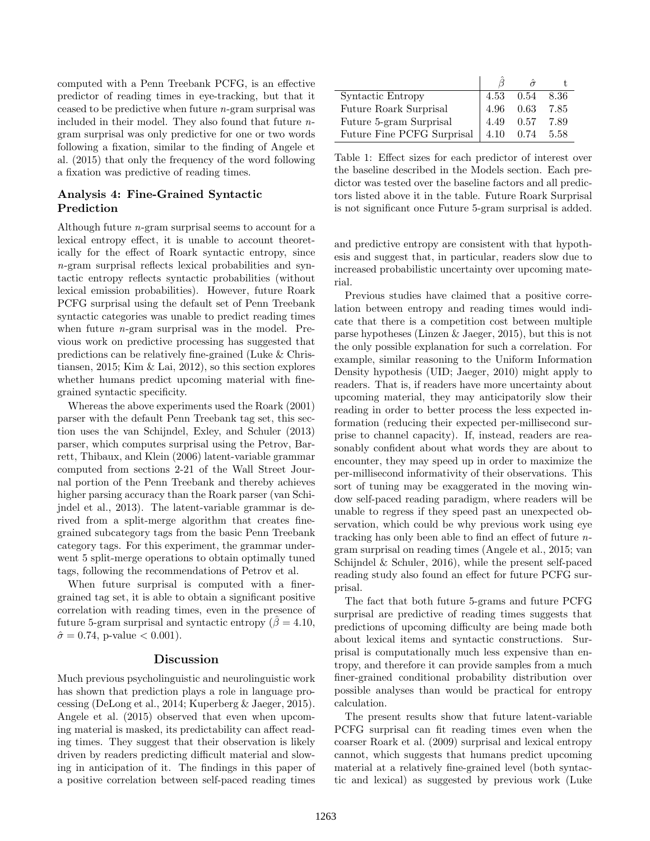computed with a Penn Treebank PCFG, is an effective predictor of reading times in eye-tracking, but that it ceased to be predictive when future n-gram surprisal was included in their model. They also found that future  $n$ gram surprisal was only predictive for one or two words following a fixation, similar to the finding of Angele et al. (2015) that only the frequency of the word following a fixation was predictive of reading times.

### Analysis 4: Fine-Grained Syntactic Prediction

Although future  $n$ -gram surprisal seems to account for a lexical entropy effect, it is unable to account theoretically for the effect of Roark syntactic entropy, since n-gram surprisal reflects lexical probabilities and syntactic entropy reflects syntactic probabilities (without lexical emission probabilities). However, future Roark PCFG surprisal using the default set of Penn Treebank syntactic categories was unable to predict reading times when future *n*-gram surprisal was in the model. Previous work on predictive processing has suggested that predictions can be relatively fine-grained (Luke & Christiansen, 2015; Kim & Lai, 2012), so this section explores whether humans predict upcoming material with finegrained syntactic specificity.

Whereas the above experiments used the Roark (2001) parser with the default Penn Treebank tag set, this section uses the van Schijndel, Exley, and Schuler (2013) parser, which computes surprisal using the Petrov, Barrett, Thibaux, and Klein (2006) latent-variable grammar computed from sections 2-21 of the Wall Street Journal portion of the Penn Treebank and thereby achieves higher parsing accuracy than the Roark parser (van Schijndel et al., 2013). The latent-variable grammar is derived from a split-merge algorithm that creates finegrained subcategory tags from the basic Penn Treebank category tags. For this experiment, the grammar underwent 5 split-merge operations to obtain optimally tuned tags, following the recommendations of Petrov et al.

When future surprisal is computed with a finergrained tag set, it is able to obtain a significant positive correlation with reading times, even in the presence of future 5-gram surprisal and syntactic entropy ( $\beta = 4.10$ ,  $\hat{\sigma} = 0.74$ , p-value < 0.001).

### Discussion

Much previous psycholinguistic and neurolinguistic work has shown that prediction plays a role in language processing (DeLong et al., 2014; Kuperberg & Jaeger, 2015). Angele et al. (2015) observed that even when upcoming material is masked, its predictability can affect reading times. They suggest that their observation is likely driven by readers predicting difficult material and slowing in anticipation of it. The findings in this paper of a positive correlation between self-paced reading times

| <b>Syntactic Entropy</b>                     | 4.53 0.54 |           | 8.36  |
|----------------------------------------------|-----------|-----------|-------|
| Future Roark Surprisal                       | 4.96 0.63 |           | 7.85  |
| Future 5-gram Surprisal                      |           | 4.49 0.57 | 7.89  |
| Future Fine PCFG Surprisal $\vert$ 4.10 0.74 |           |           | -5.58 |

Table 1: Effect sizes for each predictor of interest over the baseline described in the Models section. Each predictor was tested over the baseline factors and all predictors listed above it in the table. Future Roark Surprisal is not significant once Future 5-gram surprisal is added.

and predictive entropy are consistent with that hypothesis and suggest that, in particular, readers slow due to increased probabilistic uncertainty over upcoming material.

Previous studies have claimed that a positive correlation between entropy and reading times would indicate that there is a competition cost between multiple parse hypotheses (Linzen & Jaeger, 2015), but this is not the only possible explanation for such a correlation. For example, similar reasoning to the Uniform Information Density hypothesis (UID; Jaeger, 2010) might apply to readers. That is, if readers have more uncertainty about upcoming material, they may anticipatorily slow their reading in order to better process the less expected information (reducing their expected per-millisecond surprise to channel capacity). If, instead, readers are reasonably confident about what words they are about to encounter, they may speed up in order to maximize the per-millisecond informativity of their observations. This sort of tuning may be exaggerated in the moving window self-paced reading paradigm, where readers will be unable to regress if they speed past an unexpected observation, which could be why previous work using eye tracking has only been able to find an effect of future ngram surprisal on reading times (Angele et al., 2015; van Schijndel & Schuler, 2016), while the present self-paced reading study also found an effect for future PCFG surprisal.

The fact that both future 5-grams and future PCFG surprisal are predictive of reading times suggests that predictions of upcoming difficulty are being made both about lexical items and syntactic constructions. Surprisal is computationally much less expensive than entropy, and therefore it can provide samples from a much finer-grained conditional probability distribution over possible analyses than would be practical for entropy calculation.

The present results show that future latent-variable PCFG surprisal can fit reading times even when the coarser Roark et al. (2009) surprisal and lexical entropy cannot, which suggests that humans predict upcoming material at a relatively fine-grained level (both syntactic and lexical) as suggested by previous work (Luke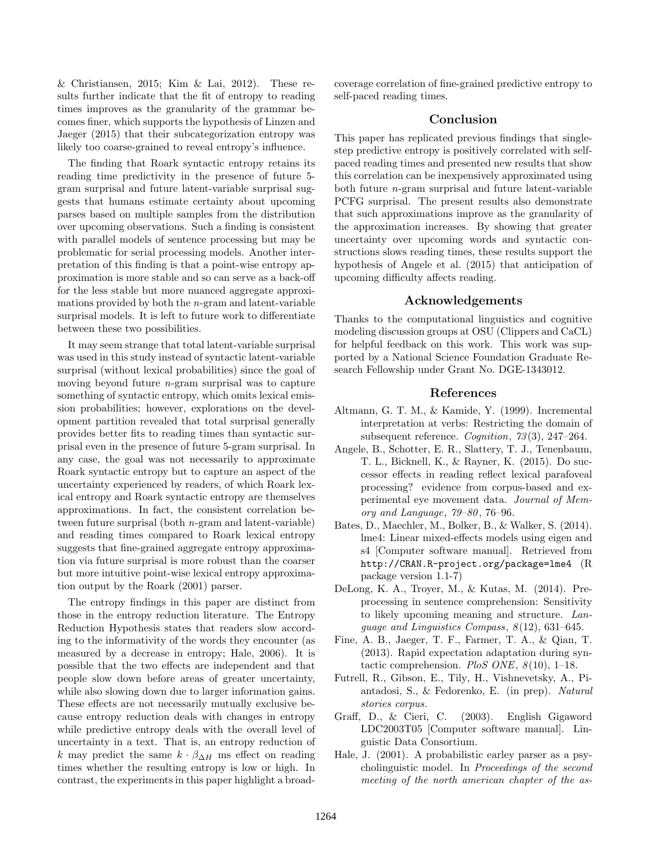$&$  Christiansen, 2015; Kim  $&$  Lai, 2012). These results further indicate that the fit of entropy to reading times improves as the granularity of the grammar becomes finer, which supports the hypothesis of Linzen and Jaeger (2015) that their subcategorization entropy was likely too coarse-grained to reveal entropy's influence.

The finding that Roark syntactic entropy retains its reading time predictivity in the presence of future 5 gram surprisal and future latent-variable surprisal suggests that humans estimate certainty about upcoming parses based on multiple samples from the distribution over upcoming observations. Such a finding is consistent with parallel models of sentence processing but may be problematic for serial processing models. Another interpretation of this finding is that a point-wise entropy approximation is more stable and so can serve as a back-off for the less stable but more nuanced aggregate approximations provided by both the n-gram and latent-variable surprisal models. It is left to future work to differentiate between these two possibilities.

It may seem strange that total latent-variable surprisal was used in this study instead of syntactic latent-variable surprisal (without lexical probabilities) since the goal of moving beyond future n-gram surprisal was to capture something of syntactic entropy, which omits lexical emission probabilities; however, explorations on the development partition revealed that total surprisal generally provides better fits to reading times than syntactic surprisal even in the presence of future 5-gram surprisal. In any case, the goal was not necessarily to approximate Roark syntactic entropy but to capture an aspect of the uncertainty experienced by readers, of which Roark lexical entropy and Roark syntactic entropy are themselves approximations. In fact, the consistent correlation between future surprisal (both n-gram and latent-variable) and reading times compared to Roark lexical entropy suggests that fine-grained aggregate entropy approximation via future surprisal is more robust than the coarser but more intuitive point-wise lexical entropy approximation output by the Roark (2001) parser.

The entropy findings in this paper are distinct from those in the entropy reduction literature. The Entropy Reduction Hypothesis states that readers slow according to the informativity of the words they encounter (as measured by a decrease in entropy; Hale, 2006). It is possible that the two effects are independent and that people slow down before areas of greater uncertainty, while also slowing down due to larger information gains. These effects are not necessarily mutually exclusive because entropy reduction deals with changes in entropy while predictive entropy deals with the overall level of uncertainty in a text. That is, an entropy reduction of k may predict the same  $k \cdot \beta_{\Delta H}$  ms effect on reading times whether the resulting entropy is low or high. In contrast, the experiments in this paper highlight a broadcoverage correlation of fine-grained predictive entropy to self-paced reading times.

# Conclusion

This paper has replicated previous findings that singlestep predictive entropy is positively correlated with selfpaced reading times and presented new results that show this correlation can be inexpensively approximated using both future n-gram surprisal and future latent-variable PCFG surprisal. The present results also demonstrate that such approximations improve as the granularity of the approximation increases. By showing that greater uncertainty over upcoming words and syntactic constructions slows reading times, these results support the hypothesis of Angele et al. (2015) that anticipation of upcoming difficulty affects reading.

# Acknowledgements

Thanks to the computational linguistics and cognitive modeling discussion groups at OSU (Clippers and CaCL) for helpful feedback on this work. This work was supported by a National Science Foundation Graduate Research Fellowship under Grant No. DGE-1343012.

#### References

- Altmann, G. T. M., & Kamide, Y. (1999). Incremental interpretation at verbs: Restricting the domain of subsequent reference. Cognition, 73 (3), 247–264.
- Angele, B., Schotter, E. R., Slattery, T. J., Tenenbaum, T. L., Bicknell, K., & Rayner, K. (2015). Do successor effects in reading reflect lexical parafoveal processing? evidence from corpus-based and experimental eye movement data. Journal of Memory and Language, 79–80 , 76–96.
- Bates, D., Maechler, M., Bolker, B., & Walker, S. (2014). lme4: Linear mixed-effects models using eigen and s4 [Computer software manual]. Retrieved from http://CRAN.R-project.org/package=lme4 (R package version 1.1-7)
- DeLong, K. A., Troyer, M., & Kutas, M. (2014). Preprocessing in sentence comprehension: Sensitivity to likely upcoming meaning and structure. Lanquage and Linguistics Compass,  $8(12)$ , 631–645.
- Fine, A. B., Jaeger, T. F., Farmer, T. A., & Qian, T. (2013). Rapid expectation adaptation during syntactic comprehension. PloS ONE,  $8(10)$ , 1-18.
- Futrell, R., Gibson, E., Tily, H., Vishnevetsky, A., Piantadosi, S., & Fedorenko, E. (in prep). Natural stories corpus.
- Graff, D., & Cieri, C. (2003). English Gigaword LDC2003T05 [Computer software manual]. Linguistic Data Consortium.
- Hale, J. (2001). A probabilistic earley parser as a psycholinguistic model. In Proceedings of the second meeting of the north american chapter of the as-